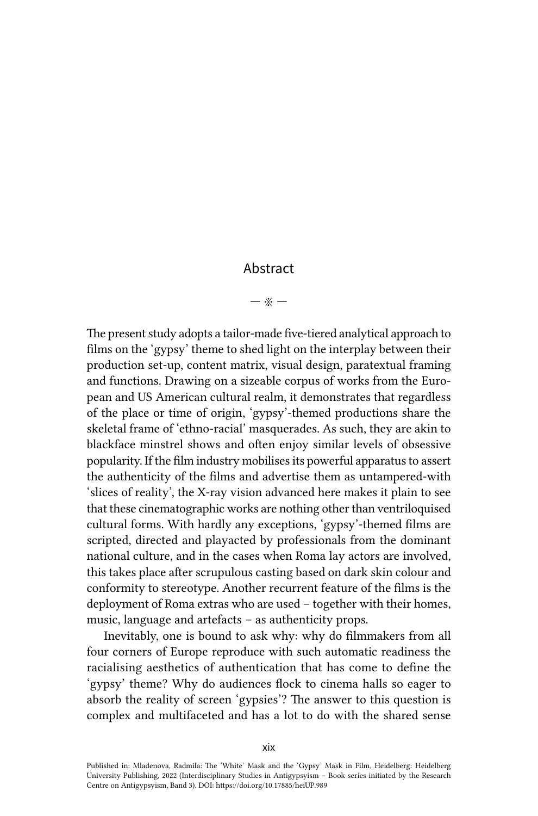## Abstract

## — ※ —

The present study adopts a tailor-made five-tiered analytical approach to films on the 'gypsy' theme to shed light on the interplay between their production set-up, content matrix, visual design, paratextual framing and functions. Drawing on a sizeable corpus of works from the European and US American cultural realm, it demonstrates that regardless of the place or time of origin, 'gypsy'-themed productions share the skeletal frame of 'ethno-racial' masquerades. As such, they are akin to blackface minstrel shows and often enjoy similar levels of obsessive popularity. If the film industry mobilises its powerful apparatus to assert the authenticity of the films and advertise them as untampered-with 'slices of reality', the X-ray vision advanced here makes it plain to see that these cinematographic works are nothing other than ventriloquised cultural forms. With hardly any exceptions, 'gypsy'-themed films are scripted, directed and playacted by professionals from the dominant national culture, and in the cases when Roma lay actors are involved, this takes place after scrupulous casting based on dark skin colour and conformity to stereotype. Another recurrent feature of the films is the deployment of Roma extras who are used – together with their homes, music, language and artefacts – as authenticity props.

Inevitably, one is bound to ask why: why do filmmakers from all four corners of Europe reproduce with such automatic readiness the racialising aesthetics of authentication that has come to define the 'gypsy' theme? Why do audiences flock to cinema halls so eager to absorb the reality of screen 'gypsies'? The answer to this question is complex and multifaceted and has a lot to do with the shared sense

Published in: Mladenova, Radmila: The 'White' Mask and the 'Gypsy' Mask in Film, Heidelberg: Heidelberg University Publishing, 2022 (Interdisciplinary Studies in Antigypsyism – Book series initiated by the Research Centre on Antigypsyism, Band 3). DOI:<https://doi.org/10.17885/heiUP.989>